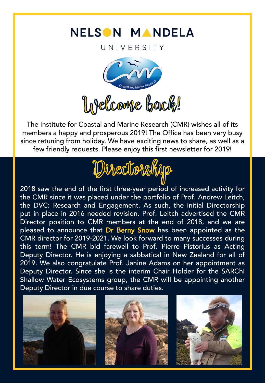## NELSON MANDELA

UNIVERSITY



The Institute for Coastal and Marine Research (CMR) wishes all of its members a happy and prosperous 2019! The Office has been very busy since retuning from holiday. We have exciting news to share, as well as a few friendly requests. Please enjoy this first newsletter for 2019!



2018 saw the end of the first three-year period of increased activity for the CMR since it was placed under the portfolio of Prof. Andrew Leitch, the DVC: Research and Engagement. As such, the initial Directorship put in place in 2016 needed revision. Prof. Leitch advertised the CMR Director position to CMR members at the end of 2018, and we are pleased to announce that Dr Berny Snow has been appointed as the CMR director for 2019-2021. We look forward to many successes during this term! The CMR bid farewell to Prof. Pierre Pistorius as Acting Deputy Director. He is enjoying a sabbatical in New Zealand for all of 2019. We also congratulate Prof. Janine Adams on her appointment as Deputy Director. Since she is the interim Chair Holder for the SARChI Shallow Water Ecosystems group, the CMR will be appointing another Deputy Director in due course to share duties.

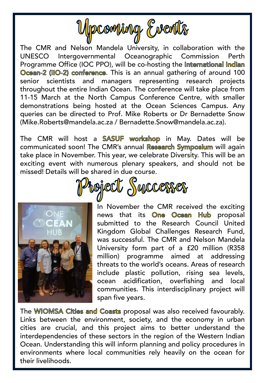

The CMR and Nelson Mandela University, in collaboration with the UNESCO Intergovernmental Oceanographic Commission Perth Programme Office (IOC PPO), will be co-hosting the International Indian Ocean-2 (IIO-2) conference. This is an annual gathering of around 100 senior scientists and managers representing research projects throughout the entire Indian Ocean. The conference will take place from 11-15 March at the North Campus Conference Centre, with smaller demonstrations being hosted at the Ocean Sciences Campus. Any queries can be directed to Prof. Mike Roberts or Dr Bernadette Snow (Mike.Roberts@mandela.ac.za / Bernadette.Snow@mandela.ac.za).

The CMR will host a SASUF workshop in May. Dates will be communicated soon! The CMR's annual Research Symposium will again take place in November. This year, we celebrate Diversity. This will be an exciting event with numerous plenary speakers, and should not be missed! Details will be shared in due course.



In November the CMR received the exciting news that its One Ocean Hub proposal submitted to the Research Council United Kingdom Global Challenges Research Fund, was successful. The CMR and Nelson Mandela University form part of a £20 million (R358 million) programme aimed at addressing threats to the world's oceans. Areas of research include plastic pollution, rising sea levels, ocean acidification, overfishing and local communities. This interdisciplinary project will span five years.

The WIOMSA Cities and Coasts proposal was also received favourably. Links between the environment, society, and the economy in urban cities are crucial, and this project aims to better understand the interdependencies of these sectors in the region of the Western Indian Ocean. Understanding this will inform planning and policy procedures in environments where local communities rely heavily on the ocean for their livelihoods.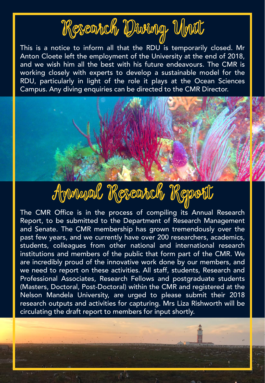## Research Diving Mrit

This is a notice to inform all that the RDU is temporarily closed. Mr Anton Cloete left the employment of the University at the end of 2018, and we wish him all the best with his future endeavours. The CMR is working closely with experts to develop a sustainable model for the RDU, particularly in light of the role it plays at the Ocean Sciences Campus. Any diving enquiries can be directed to the CMR Director.



The CMR Office is in the process of compiling its Annual Research Report, to be submitted to the Department of Research Management and Senate. The CMR membership has grown tremendously over the past few years, and we currently have over 200 researchers, academics, students, colleagues from other national and international research institutions and members of the public that form part of the CMR. We are incredibly proud of the innovative work done by our members, and we need to report on these activities. All staff, students, Research and Professional Associates, Research Fellows and postgraduate students (Masters, Doctoral, Post-Doctoral) within the CMR and registered at the Nelson Mandela University, are urged to please submit their 2018 research outputs and activities for capturing. Mrs Liza Rishworth will be circulating the draft report to members for input shortly.